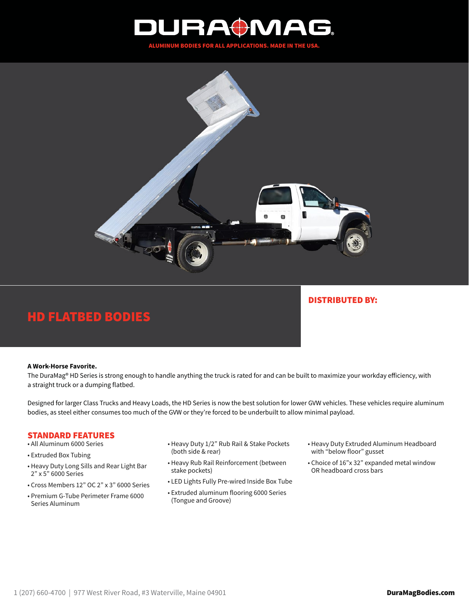



# HD FLATBED BODIES

# DISTRIBUTED BY:

#### **A Work-Horse Favorite.**

The DuraMag® HD Series is strong enough to handle anything the truck is rated for and can be built to maximize your workday efficiency, with a straight truck or a dumping flatbed.

Designed for larger Class Trucks and Heavy Loads, the HD Series is now the best solution for lower GVW vehicles. These vehicles require aluminum bodies, as steel either consumes too much of the GVW or they're forced to be underbuilt to allow minimal payload.

### STANDARD FEATURES

- All Aluminum 6000 Series
- Extruded Box Tubing
- Heavy Duty Long Sills and Rear Light Bar 2" x 5" 6000 Series
- Cross Members 12" OC 2" x 3" 6000 Series
- Premium G-Tube Perimeter Frame 6000 Series Aluminum
- Heavy Duty 1/2" Rub Rail & Stake Pockets (both side & rear)
- Heavy Rub Rail Reinforcement (between stake pockets)
- LED Lights Fully Pre-wired Inside Box Tube
- Extruded aluminum flooring 6000 Series (Tongue and Groove)
- Heavy Duty Extruded Aluminum Headboard with "below floor" gusset
- Choice of 16"x 32" expanded metal window OR headboard cross bars